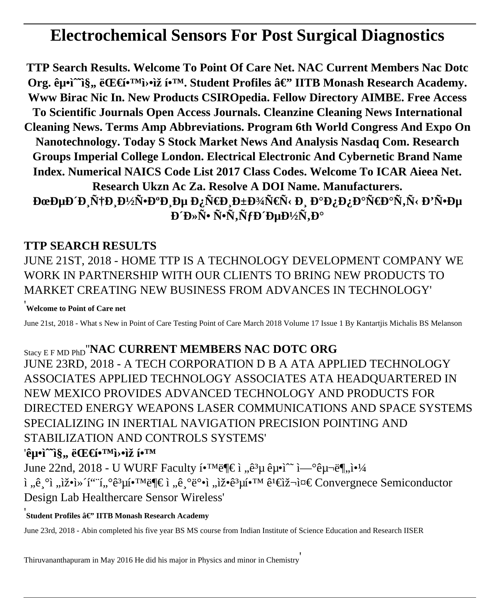# **Electrochemical Sensors For Post Surgical Diagnostics**

TTP Search Results. Welcome To Point Of Care Net. NAC Current Members Nac Dotc Org. 굕ì^^ì§,, 대í•<sup>™</sup>î>•ìž í•<sup>™</sup>. Student Profiles â€" IITB Monash Research Academy. Www Birac Nic In. New Products CSIROpedia. Fellow Directory AIMBE. Free Access To Scientific Journals Open Access Journals. Cleanzine Cleaning News International **Cleaning News. Terms Amp Abbreviations. Program 6th World Congress And Expo On** Nanotechnology. Today S Stock Market News And Analysis Nasdaq Com. Research Groups Imperial College London. Electrical Electronic And Cybernetic Brand Name Index, Numerical NAICS Code List 2017 Class Codes, Welcome To ICAR Aieea Net. Research Ukzn Ac Za. Resolve A DOI Name. Manufacturers. ĐœĐµĐ´Đ Ñ†Đ Đ½Ñ•Đ°Đ Đµ Đ¿Ñ€Đ Đ±Đ¾Ñ€Ñ< РаĐ¿Đ¿Đ°Ñ€Đ°Ñ,Ñ< Đ'Ñ•Đµ  $\mathbf{D}^T \mathbf{D} \times \tilde{\mathbf{N}}$  •  $\tilde{\mathbf{N}}$  •  $\tilde{\mathbf{N}}$  •  $\tilde{\mathbf{N}}$  •  $\tilde{\mathbf{N}}$  +  $\mathbf{D}^T \mathbf{D}$  +  $\mathbf{D}^T \times \tilde{\mathbf{N}}$  +  $\mathbf{D}^{\circ}$ 

# **TTP SEARCH RESULTS**

# JUNE 21ST, 2018 - HOME TTP IS A TECHNOLOGY DEVELOPMENT COMPANY WE WORK IN PARTNERSHIP WITH OUR CLIENTS TO BRING NEW PRODUCTS TO MARKET CREATING NEW BUSINESS FROM ADVANCES IN TECHNOLOGY'

### <u>.</u><br>Welcome to Point of Care net

June 21st, 2018 - What s New in Point of Care Testing Point of Care March 2018 Volume 17 Issue 1 By Kantartiis Michalis BS Melanson

# Stacy E F MD PhD "NAC CURRENT MEMBERS NAC DOTC ORG

JUNE 23RD, 2018 - A TECH CORPORATION D B A ATA APPLIED TECHNOLOGY ASSOCIATES APPLIED TECHNOLOGY ASSOCIATES ATA HEADQUARTERED IN NEW MEXICO PROVIDES ADVANCED TECHNOLOGY AND PRODUCTS FOR DIRECTED ENERGY WEAPONS LASER COMMUNICATIONS AND SPACE SYSTEMS SPECIALIZING IN INERTIAL NAVIGATION PRECISION POINTING AND STABILIZATION AND CONTROLS SYSTEMS'

## '굕ì^^ì§,, 대í•™ì>•ìž í•™

June 22nd, 2018 - U WURF Faculty 학부 ì "ê<sup>3</sup>µ 굕ì^~ 연구ë¶"야 i "ê  $^{\circ}$ i "iž•i» i"i,  $^{\circ}e^{3}\mu i$ • $^{\circ}$ Wë¶ $\in$ i "ê  $^{\circ}e^{3}$ e $^{\circ}$ i "iž•ê $^3\mu i$ • $^{\circ}$ M $\hat{e}^{1}\hat{e}$ iž $\neg$ i¤ $\in$  Convergnece Semiconductor Design Lab Healthercare Sensor Wireless'

### Student Profiles â€" IITB Monash Research Academy

June 23rd, 2018 - Abin completed his five year BS MS course from Indian Institute of Science Education and Research IISER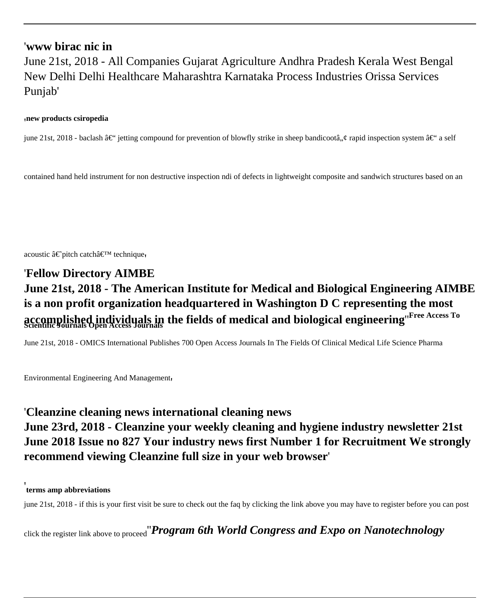### '**www birac nic in**

June 21st, 2018 - All Companies Gujarat Agriculture Andhra Pradesh Kerala West Bengal New Delhi Delhi Healthcare Maharashtra Karnataka Process Industries Orissa Services Punjab'

#### '**new products csiropedia**

june 21st, 2018 - baclash – jetting compound for prevention of blowfly strike in sheep bandicootâ, ¢ rapid inspection system – a self

contained hand held instrument for non destructive inspection ndi of defects in lightweight composite and sandwich structures based on an

acoustic  $\hat{a} \in \tilde{\text{right}}$  catch $\hat{a} \in \text{TM}$  technique

# '**Fellow Directory AIMBE June 21st, 2018 - The American Institute for Medical and Biological Engineering AIMBE is a non profit organization headquartered in Washington D C representing the most accomplished individuals in the fields of medical and biological engineering**''**Free Access To Scientific Journals Open Access Journals**

June 21st, 2018 - OMICS International Publishes 700 Open Access Journals In The Fields Of Clinical Medical Life Science Pharma

Environmental Engineering And Management'

### '**Cleanzine cleaning news international cleaning news**

# **June 23rd, 2018 - Cleanzine your weekly cleaning and hygiene industry newsletter 21st June 2018 Issue no 827 Your industry news first Number 1 for Recruitment We strongly recommend viewing Cleanzine full size in your web browser**'

#### **terms amp abbreviations**

'

june 21st, 2018 - if this is your first visit be sure to check out the faq by clicking the link above you may have to register before you can post

click the register link above to proceed''*Program 6th World Congress and Expo on Nanotechnology*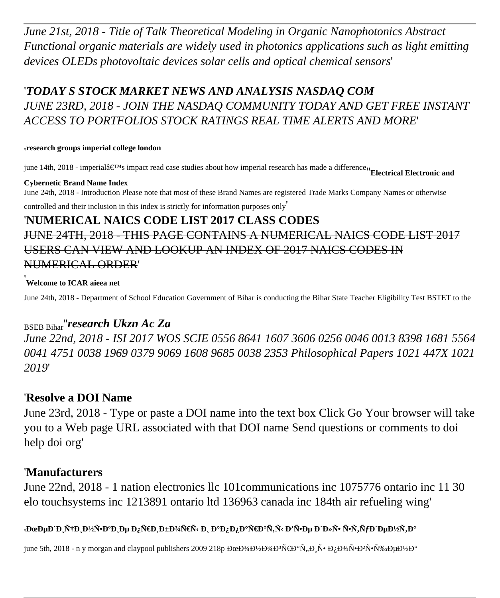*June 21st, 2018 - Title of Talk Theoretical Modeling in Organic Nanophotonics Abstract Functional organic materials are widely used in photonics applications such as light emitting devices OLEDs photovoltaic devices solar cells and optical chemical sensors*'

# '*TODAY S STOCK MARKET NEWS AND ANALYSIS NASDAQ COM JUNE 23RD, 2018 - JOIN THE NASDAQ COMMUNITY TODAY AND GET FREE INSTANT ACCESS TO PORTFOLIOS STOCK RATINGS REAL TIME ALERTS AND MORE*'

#### '**research groups imperial college london**

june 14th, 2018 - imperial's impact read case studies about how imperial research has made a difference<sup>1</sup>'Electrical Electronic and

#### **Cybernetic Brand Name Index**

June 24th, 2018 - Introduction Please note that most of these Brand Names are registered Trade Marks Company Names or otherwise controlled and their inclusion in this index is strictly for information purposes only'

# '**NUMERICAL NAICS CODE LIST 2017 CLASS CODES**

# JUNE 24TH, 2018 - THIS PAGE CONTAINS A NUMERICAL NAICS CODE LIST 2017 USERS CAN VIEW AND LOOKUP AN INDEX OF 2017 NAICS CODES IN NUMERICAL ORDER'

### '**Welcome to ICAR aieea net**

June 24th, 2018 - Department of School Education Government of Bihar is conducting the Bihar State Teacher Eligibility Test BSTET to the

## BSEB Bihar''*research Ukzn Ac Za*

*June 22nd, 2018 - ISI 2017 WOS SCIE 0556 8641 1607 3606 0256 0046 0013 8398 1681 5564 0041 4751 0038 1969 0379 9069 1608 9685 0038 2353 Philosophical Papers 1021 447X 1021 2019*'

### '**Resolve a DOI Name**

June 23rd, 2018 - Type or paste a DOI name into the text box Click Go Your browser will take you to a Web page URL associated with that DOI name Send questions or comments to doi help doi org'

### '**Manufacturers**

June 22nd, 2018 - 1 nation electronics llc 101communications inc 1075776 ontario inc 11 30 elo touchsystems inc 1213891 ontario ltd 136963 canada inc 184th air refueling wing'

### **'**Medµd´D¸Ñ†D¸Đ½Ñ•аD¸Dµ D¿Ñ€D¸D±D¾Ñ€Ñ‹ и D°D¿D¿D°Ň€D°Ñ,Ñ‹ D'Ñ•Dµ D´Đ»Ñ• Ñ•Ñ,уD´DµD½Ñ,D°

june 5th, 2018 - n y morgan and claypool publishers 2009 218p ĐœĐ¾Đ½Đ¾Ď®Ň€Đ®Ñ,,Đ Ň•Đ¿Đ¾Ň•Đ?ҕ҉еĐ½Đ®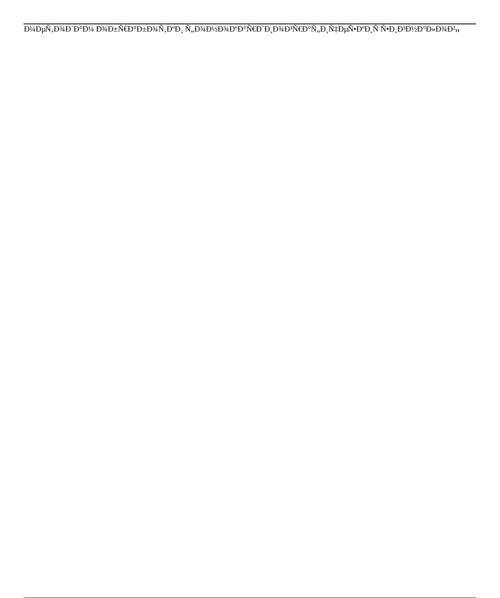$\label{eq:4.1} \overline{D^{1}\!A\!D\mu\!N\!N\!,}D^{3}\!A\!D^{'}D^{'}\!D^{1}\!A\,D^{3}\!A\!D\!\pm\!\tilde{N}\!\!\in\!\!\!D^{o}\!D\!\!\pm\!\!\bar{D}^{3}\!A\! \tilde{N}\!,\!D^{o}\!D_{\Box}\!\!\stackrel{\,\,}{N}\!\!,\!D^{3}\!A\!D^{l}\!A\!D^{'}\!D^{3}\!A\!D^{o}\!D^{o}\!N\!\!\in\!\!\!D^{'}D_{\Box}\!D^{3}\!A\!D^{o}\!P\! \tilde{N}\!,$